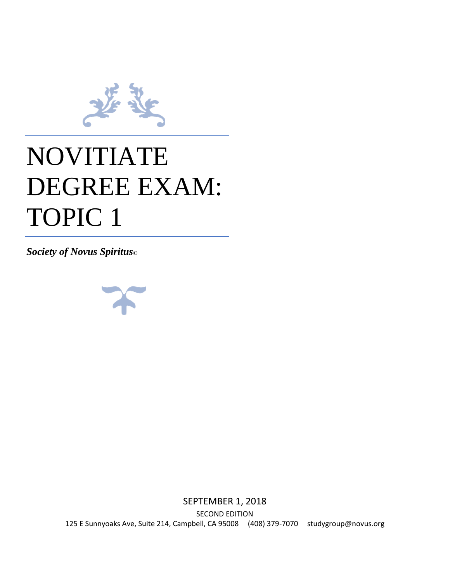

## NOVITIATE DEGREE EXAM: TOPIC 1

*Society of Novus Spiritus©*



SEPTEMBER 1, 2018 SECOND EDITION 125 E Sunnyoaks Ave, Suite 214, Campbell, CA 95008 (408) 379-7070 studygroup@novus.org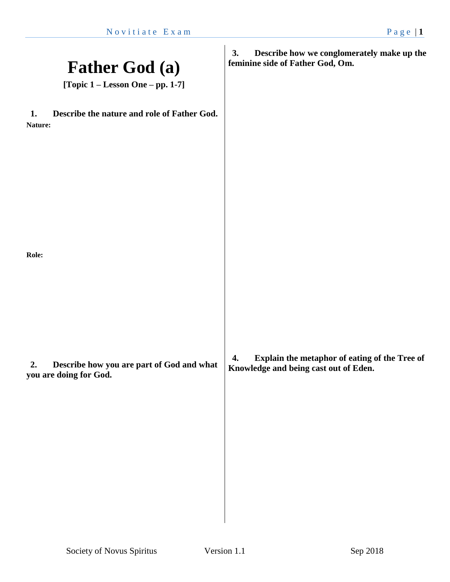| <b>Father God (a)</b><br>[Topic 1 – Lesson One – pp. 1-7]                 | 3.<br>Describe how we conglomerately make up the<br>feminine side of Father God, Om.         |
|---------------------------------------------------------------------------|----------------------------------------------------------------------------------------------|
| Describe the nature and role of Father God.<br>1.<br>Nature:              |                                                                                              |
|                                                                           |                                                                                              |
| Role:                                                                     |                                                                                              |
|                                                                           |                                                                                              |
| Describe how you are part of God and what<br>2.<br>you are doing for God. | Explain the metaphor of eating of the Tree of<br>4.<br>Knowledge and being cast out of Eden. |
|                                                                           |                                                                                              |
|                                                                           |                                                                                              |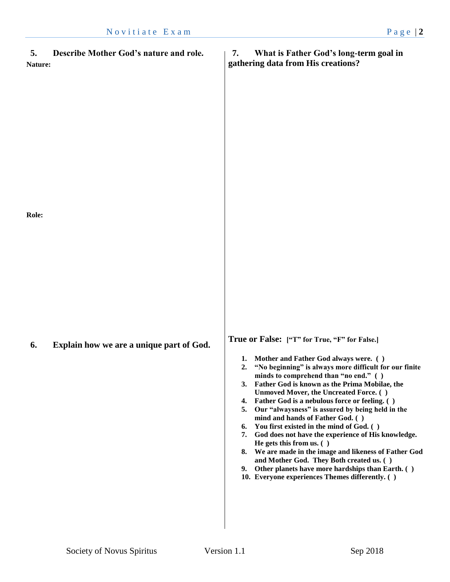| Describe Mother God's nature and role.<br>5.<br><b>Nature:</b> | What is Father God's long-term goal in<br>7.<br>gathering data from His creations?                                                                                                                                                                                                                                                                                                                                                                                                                                                                                                                                                                                                                                                                                                                            |
|----------------------------------------------------------------|---------------------------------------------------------------------------------------------------------------------------------------------------------------------------------------------------------------------------------------------------------------------------------------------------------------------------------------------------------------------------------------------------------------------------------------------------------------------------------------------------------------------------------------------------------------------------------------------------------------------------------------------------------------------------------------------------------------------------------------------------------------------------------------------------------------|
| <b>Role:</b>                                                   |                                                                                                                                                                                                                                                                                                                                                                                                                                                                                                                                                                                                                                                                                                                                                                                                               |
| Explain how we are a unique part of God.<br>6.                 | True or False: ["T" for True, "F" for False.]<br>Mother and Father God always were. ()<br>1.<br>"No beginning" is always more difficult for our finite<br>2.<br>minds to comprehend than "no end." ()<br>3. Father God is known as the Prima Mobilae, the<br>Unmoved Mover, the Uncreated Force. ()<br>4. Father God is a nebulous force or feeling. ()<br>Our "alwaysness" is assured by being held in the<br>5.<br>mind and hands of Father God. ()<br>You first existed in the mind of God. ()<br>6.<br>7. God does not have the experience of His knowledge.<br>He gets this from us. ( )<br>8. We are made in the image and likeness of Father God<br>and Mother God. They Both created us. ()<br>9. Other planets have more hardships than Earth. ()<br>10. Everyone experiences Themes differently. () |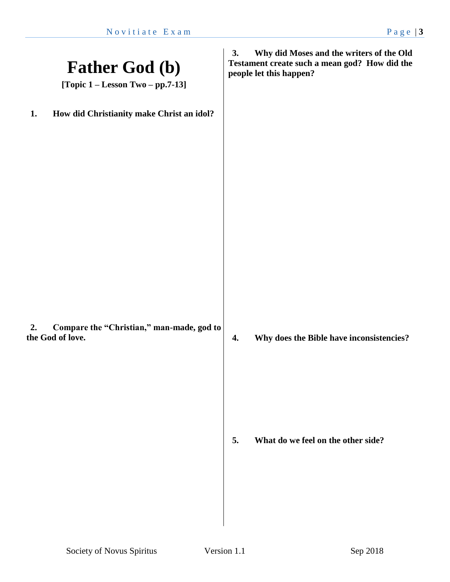| <b>Father God (b)</b><br>[Topic $1 -$ Lesson Two $-$ pp.7-13]       | Why did Moses and the writers of the Old<br>3.<br>Testament create such a mean god? How did the<br>people let this happen? |
|---------------------------------------------------------------------|----------------------------------------------------------------------------------------------------------------------------|
| How did Christianity make Christ an idol?<br>1.                     |                                                                                                                            |
| Compare the "Christian," man-made, god to<br>2.<br>the God of love. | Why does the Bible have inconsistencies?<br>4.                                                                             |
|                                                                     | 5.<br>What do we feel on the other side?                                                                                   |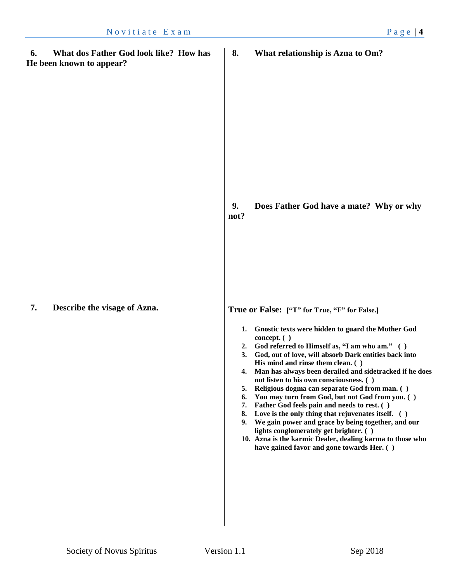**6. What dos Father God look like? How has He been known to appear?**

**7. Describe the visage of Azna.**

**8. What relationship is Azna to Om?**

**9. Does Father God have a mate? Why or why not?**

**True or False: ["T" for True, "F" for False.]**

- **1. Gnostic texts were hidden to guard the Mother God concept. ( )**
- **2. God referred to Himself as, "I am who am." ( )**
- **3. God, out of love, will absorb Dark entities back into His mind and rinse them clean. ( )**
- **4. Man has always been derailed and sidetracked if he does not listen to his own consciousness. ( )**
- **5. Religious dogma can separate God from man. ( )**
- **6. You may turn from God, but not God from you. ( )**
- **7. Father God feels pain and needs to rest. ( )**
- **8. Love is the only thing that rejuvenates itself. ( )**
- **9. We gain power and grace by being together, and our lights conglomerately get brighter. ( )**
- **10. Azna is the karmic Dealer, dealing karma to those who have gained favor and gone towards Her. ( )**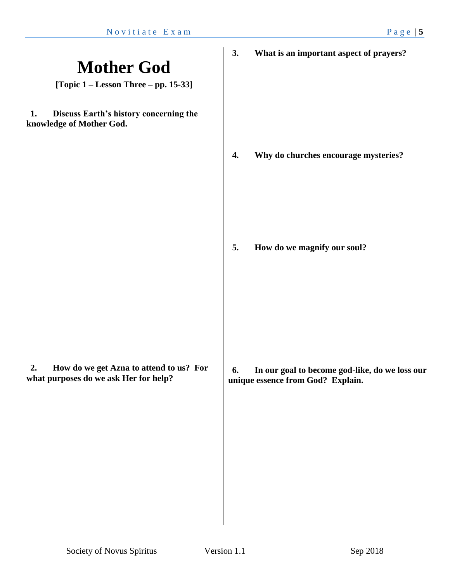## **Mother God [Topic 1 – Lesson Three – pp. 15-33] 1. Discuss Earth's history concerning the knowledge of Mother God. 2. How do we get Azna to attend to us? For what purposes do we ask Her for help? 3. What is an important aspect of prayers? 4. Why do churches encourage mysteries? 5. How do we magnify our soul? 6. In our goal to become god-like, do we loss our unique essence from God? Explain.**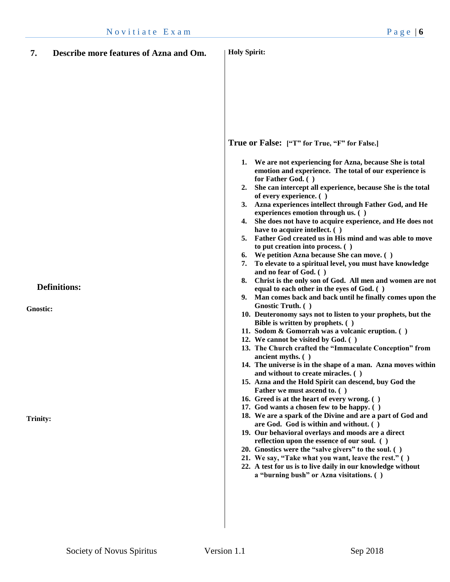| 7.                                 | Describe more features of Azna and Om. | <b>Holy Spirit:</b>                                                                                                                                                                                                                                                                                                                                                                                                                                                                                                                                                                                                                                                                                                                                                                                                                                                                                                                                                                                                                                                                                                                                                                                                                                                                                                                                                                                                                                                                                                                                                                                                                                                                                                                                                                                                                                                                                                                                                                  |
|------------------------------------|----------------------------------------|--------------------------------------------------------------------------------------------------------------------------------------------------------------------------------------------------------------------------------------------------------------------------------------------------------------------------------------------------------------------------------------------------------------------------------------------------------------------------------------------------------------------------------------------------------------------------------------------------------------------------------------------------------------------------------------------------------------------------------------------------------------------------------------------------------------------------------------------------------------------------------------------------------------------------------------------------------------------------------------------------------------------------------------------------------------------------------------------------------------------------------------------------------------------------------------------------------------------------------------------------------------------------------------------------------------------------------------------------------------------------------------------------------------------------------------------------------------------------------------------------------------------------------------------------------------------------------------------------------------------------------------------------------------------------------------------------------------------------------------------------------------------------------------------------------------------------------------------------------------------------------------------------------------------------------------------------------------------------------------|
| <b>Gnostic:</b><br><b>Trinity:</b> | <b>Definitions:</b>                    | True or False: ["T" for True, "F" for False.]<br>1.<br>We are not experiencing for Azna, because She is total<br>emotion and experience. The total of our experience is<br>for Father God. ()<br>She can intercept all experience, because She is the total<br>2.<br>of every experience. ()<br>Azna experiences intellect through Father God, and He<br>3.<br>experiences emotion through us. ()<br>She does not have to acquire experience, and He does not<br>4.<br>have to acquire intellect. ()<br>Father God created us in His mind and was able to move<br>5.<br>to put creation into process. ()<br>We petition Azna because She can move. ()<br>6.<br>To elevate to a spiritual level, you must have knowledge<br>7.<br>and no fear of God. ()<br>Christ is the only son of God. All men and women are not<br>8.<br>equal to each other in the eyes of God. ()<br>Man comes back and back until he finally comes upon the<br>9.<br>Gnostic Truth. ()<br>10. Deuteronomy says not to listen to your prophets, but the<br>Bible is written by prophets. ()<br>11. Sodom & Gomorrah was a volcanic eruption. ()<br>12. We cannot be visited by God. ()<br>13. The Church crafted the "Immaculate Conception" from<br>ancient myths. $( )$<br>14. The universe is in the shape of a man. Azna moves within<br>and without to create miracles. ()<br>15. Azna and the Hold Spirit can descend, buy God the<br>Father we must ascend to. ()<br>16. Greed is at the heart of every wrong. ()<br>17. God wants a chosen few to be happy. ()<br>18. We are a spark of the Divine and are a part of God and<br>are God. God is within and without. ()<br>19. Our behavioral overlays and moods are a direct<br>reflection upon the essence of our soul. ()<br>20. Gnostics were the "salve givers" to the soul. ()<br>21. We say, "Take what you want, leave the rest." ()<br>22. A test for us is to live daily in our knowledge without<br>a "burning bush" or Azna visitations. () |
|                                    |                                        |                                                                                                                                                                                                                                                                                                                                                                                                                                                                                                                                                                                                                                                                                                                                                                                                                                                                                                                                                                                                                                                                                                                                                                                                                                                                                                                                                                                                                                                                                                                                                                                                                                                                                                                                                                                                                                                                                                                                                                                      |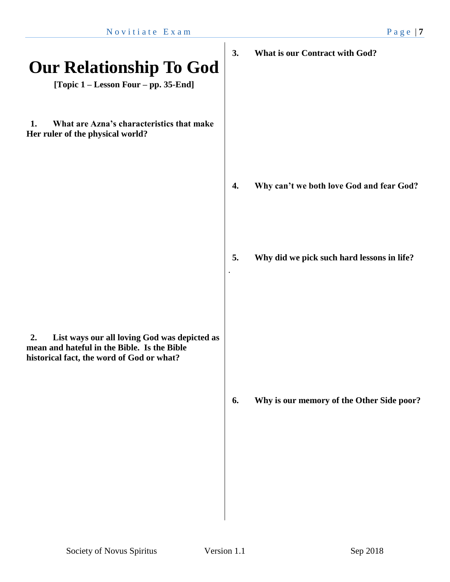| <b>Our Relationship To God</b><br>[Topic 1 – Lesson Four – pp. 35-End]                                                                         | 3. | <b>What is our Contract with God?</b>      |
|------------------------------------------------------------------------------------------------------------------------------------------------|----|--------------------------------------------|
| 1.<br>What are Azna's characteristics that make<br>Her ruler of the physical world?                                                            |    |                                            |
|                                                                                                                                                | 4. | Why can't we both love God and fear God?   |
|                                                                                                                                                | 5. | Why did we pick such hard lessons in life? |
| List ways our all loving God was depicted as<br>2.<br>mean and hateful in the Bible. Is the Bible<br>historical fact, the word of God or what? |    |                                            |
|                                                                                                                                                | 6. | Why is our memory of the Other Side poor?  |
|                                                                                                                                                |    |                                            |